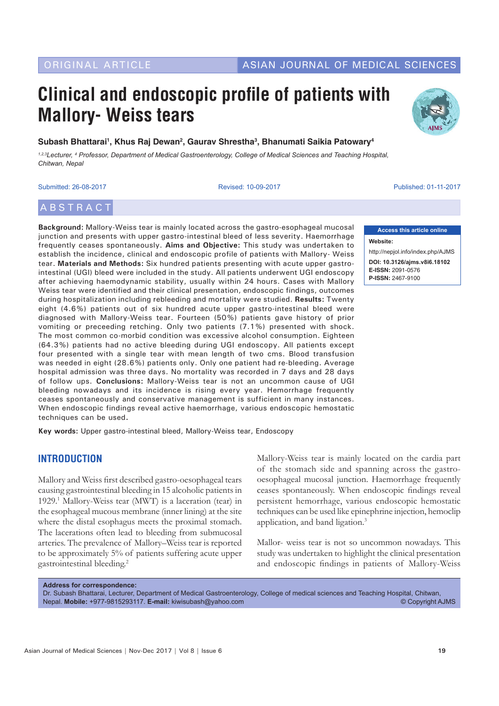# ORIGINAL ARTICLE ASIAN JOURNAL OF MEDICAL SCIENCES

# **Clinical and endoscopic profile of patients with Mallory- Weiss tears**



*1,2,3Lecturer, 4 Professor, Department of Medical Gastroenterology, College of Medical Sciences and Teaching Hospital, Chitwan, Nepal*

Submitted: 26-08-2017 Revised: 10-09-2017 Published: 01-11-2017

# ABSTRACT

**Background:** Mallory-Weiss tear is mainly located across the gastro-esophageal mucosal junction and presents with upper gastro-intestinal bleed of less severity. Haemorrhage frequently ceases spontaneously. **Aims and Objective:** This study was undertaken to establish the incidence, clinical and endoscopic profile of patients with Mallory- Weiss tear. **Materials and Methods:** Six hundred patients presenting with acute upper gastrointestinal (UGI) bleed were included in the study. All patients underwent UGI endoscopy after achieving haemodynamic stability, usually within 24 hours. Cases with Mallory Weiss tear were identified and their clinical presentation, endoscopic findings, outcomes during hospitalization including rebleeding and mortality were studied. **Results:** Twenty eight (4.6%) patients out of six hundred acute upper gastro-intestinal bleed were diagnosed with Mallory-Weiss tear. Fourteen (50%) patients gave history of prior vomiting or preceeding retching. Only two patients (7.1%) presented with shock. The most common co-morbid condition was excessive alcohol consumption. Eighteen (64.3%) patients had no active bleeding during UGI endoscopy. All patients except four presented with a single tear with mean length of two cms. Blood transfusion was needed in eight (28.6%) patients only. Only one patient had re-bleeding. Average hospital admission was three days. No mortality was recorded in 7 days and 28 days of follow ups. **Conclusions:** Mallory-Weiss tear is not an uncommon cause of UGI bleeding nowadays and its incidence is rising every year. Hemorrhage frequently ceases spontaneously and conservative management is sufficient in many instances. When endoscopic findings reveal active haemorrhage, various endoscopic hemostatic techniques can be used**.**

**Key words:** Upper gastro-intestinal bleed, Mallory-Weiss tear, Endoscopy

# **INTRODUCTION**

Mallory and Weiss first described gastro-oesophageal tears causing gastrointestinal bleeding in 15 alcoholic patients in 1929.1 Mallory-Weiss tear (MWT) is a laceration (tear) in the esophageal mucous membrane (inner lining) at the site where the distal esophagus meets the proximal stomach. The lacerations often lead to bleeding from submucosal arteries. The prevalence of Mallory–Weiss tear is reported to be approximately 5% of patients suffering acute upper gastrointestinal bleeding.2

Mallory-Weiss tear is mainly located on the cardia part of the stomach side and spanning across the gastrooesophageal mucosal junction. Haemorrhage frequently ceases spontaneously. When endoscopic findings reveal persistent hemorrhage, various endoscopic hemostatic techniques can be used like epinephrine injection, hemoclip application, and band ligation.<sup>3</sup>

Mallor- weiss tear is not so uncommon nowadays. This study was undertaken to highlight the clinical presentation and endoscopic findings in patients of Mallory-Weiss

**Address for correspondence:**

Dr. Subash Bhattarai, Lecturer, Department of Medical Gastroenterology, College of medical sciences and Teaching Hospital, Chitwan,<br>Nepal. Mobile: +977-9815293117. E-mail: kiwisubash@yahoo.com (Copyright AJMS Nepal. Mobile: +977-9815293117. E-mail: kiwisubash@yahoo.com

**Access this article online**

**Website:**

http://nepjol.info/index.php/AJMS

**DOI: 10.3126/ajms.v8i6.18102 E-ISSN:** 2091-0576 **P-ISSN:** 2467-9100

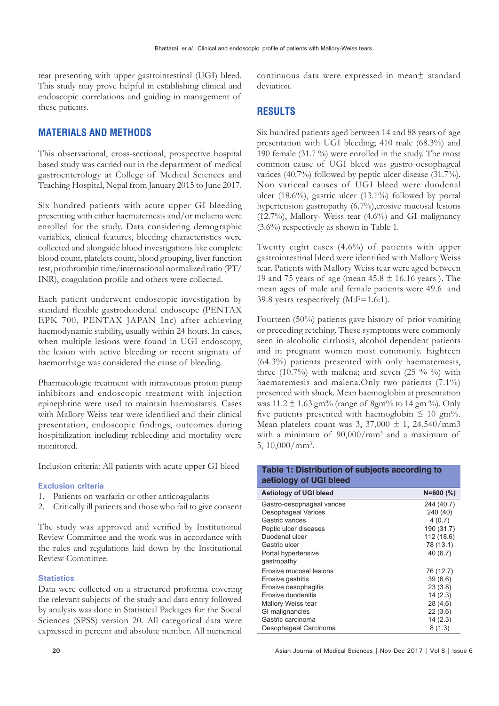tear presenting with upper gastrointestinal (UGI) bleed. This study may prove helpful in establishing clinical and endoscopic correlations and guiding in management of these patients.

# **MATERIALS AND METHODS**

This observational, cross-sectional, prospective hospital based study was carried out in the department of medical gastroenterology at College of Medical Sciences and Teaching Hospital, Nepal from January 2015 to June 2017.

Six hundred patients with acute upper GI bleeding presenting with either haematemesis and/or melaena were enrolled for the study. Data considering demographic variables, clinical features, bleeding characteristics were collected and alongside blood investigations like complete blood count, platelets count, blood grouping, liver function test, prothrombin time/international normalized ratio (PT/ INR), coagulation profile and others were collected.

Each patient underwent endoscopic investigation by standard flexible gastroduodenal endoscope (PENTAX EPK 700, PENTAX JAPAN Inc) after achieving haemodynamic stability, usually within 24 hours. In cases, when multiple lesions were found in UGI endoscopy, the lesion with active bleeding or recent stigmata of haemorrhage was considered the cause of bleeding.

Pharmacologic treatment with intravenous proton pump inhibitors and endoscopic treatment with injection epinephrine were used to maintain haemostatsis. Cases with Mallory Weiss tear were identified and their clinical presentation, endoscopic findings, outcomes during hospitalization including rebleeding and mortality were monitored.

Inclusion criteria: All patients with acute upper GI bleed

#### **Exclusion criteria**

- 1. Patients on warfarin or other anticoagulants
- 2. Critically ill patients and those who fail to give consent

The study was approved and verified by Institutional Review Committee and the work was in accordance with the rules and regulations laid down by the Institutional Review Committee.

### **Statistics**

Data were collected on a structured proforma covering the relevant subjects of the study and data entry followed by analysis was done in Statistical Packages for the Social Sciences (SPSS) version 20. All categorical data were expressed in percent and absolute number. All numerical continuous data were expressed in mean± standard deviation.

# **RESULTS**

Six hundred patients aged between 14 and 88 years of age presentation with UGI bleeding; 410 male (68.3%) and 190 female (31.7 %) were enrolled in the study. The most common cause of UGI bleed was gastro-oesophageal varices (40.7%) followed by peptic ulcer disease (31.7%). Non variceal causes of UGI bleed were duodenal ulcer (18.6%), gastric ulcer (13.1%) followed by portal hypertension gastropathy (6.7%),erosive mucosal lesions (12.7%), Mallory- Weiss tear (4.6%) and GI malignancy (3.6%) respectively as shown in Table 1.

Twenty eight cases (4.6%) of patients with upper gastrointestinal bleed were identified with Mallory Weiss tear. Patients with Mallory Weiss tear were aged between 19 and 75 years of age (mean  $45.8 \pm 16.16$  years). The mean ages of male and female patients were 49.6 and 39.8 years respectively (M:F=1.6:1).

Fourteen (50%) patients gave history of prior vomiting or preceding retching. These symptoms were commonly seen in alcoholic cirrhosis, alcohol dependent patients and in pregnant women most commonly. Eighteen (64.3%) patients presented with only haematemesis, three  $(10.7\%)$  with malena; and seven  $(25\%$  % with haematemesis and malena.Only two patients (7.1%) presented with shock. Mean haemoglobin at presentation was  $11.2 \pm 1.63$  gm% (range of 8gm% to 14 gm %). Only five patients presented with haemoglobin  $\leq 10$  gm%. Mean platelets count was 3, 37,000  $\pm$  1, 24,540/mm3 with a minimum of 90,000/mm<sup>3</sup> and a maximum of 5, 10,000/mm<sup>3</sup> .

# **Table 1: Distribution of subjects according to aetiology of UGI bleed**

| Aetiology of UGI bleed     | $N = 600$ (%) |
|----------------------------|---------------|
| Gastro-oesophageal varices | 244 (40.7)    |
| Oesophageal Varices        | 240 (40)      |
| Gastric varices            | 4(0.7)        |
| Peptic ulcer diseases      | 190 (31.7)    |
| Duodenal ulcer             | 112 (18.6)    |
| Gastric ulcer              | 78 (13.1)     |
| Portal hypertensive        | 40 (6.7)      |
| gastropathy                |               |
| Erosive mucosal lesions    | 76 (12.7)     |
| Erosive gastritis          | 39(6.6)       |
| Erosive oesophagitis       | 23(3.8)       |
| Erosive duodenitis         | 14(2.3)       |
| Mallory Weiss tear         | 28(4.6)       |
| GI malignancies            | 22(3.6)       |
| Gastric carcinoma          | 14 (2.3)      |
| Oesophageal Carcinoma      | 8(1.3)        |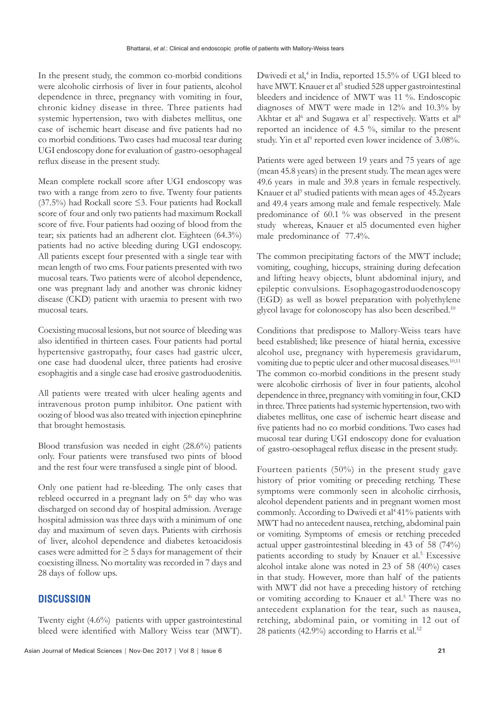In the present study, the common co-morbid conditions were alcoholic cirrhosis of liver in four patients, alcohol dependence in three, pregnancy with vomiting in four, chronic kidney disease in three. Three patients had systemic hypertension, two with diabetes mellitus, one case of ischemic heart disease and five patients had no co morbid conditions. Two cases had mucosal tear during UGI endoscopy done for evaluation of gastro-oesophageal reflux disease in the present study.

Mean complete rockall score after UGI endoscopy was two with a range from zero to five. Twenty four patients (37.5%) had Rockall score ≤3. Four patients had Rockall score of four and only two patients had maximum Rockall score of five. Four patients had oozing of blood from the tear; six patients had an adherent clot. Eighteen (64.3%) patients had no active bleeding during UGI endoscopy. All patients except four presented with a single tear with mean length of two cms. Four patients presented with two mucosal tears. Two patients were of alcohol dependence, one was pregnant lady and another was chronic kidney disease (CKD) patient with uraemia to present with two mucosal tears.

Coexisting mucosal lesions, but not source of bleeding was also identified in thirteen cases. Four patients had portal hypertensive gastropathy, four cases had gastric ulcer, one case had duodenal ulcer, three patients had erosive esophagitis and a single case had erosive gastroduodenitis.

All patients were treated with ulcer healing agents and intravenous proton pump inhibitor. One patient with oozing of blood was also treated with injection epinephrine that brought hemostasis.

Blood transfusion was needed in eight (28.6%) patients only. Four patients were transfused two pints of blood and the rest four were transfused a single pint of blood.

Only one patient had re-bleeding. The only cases that rebleed occurred in a pregnant lady on 5<sup>th</sup> day who was discharged on second day of hospital admission. Average hospital admission was three days with a minimum of one day and maximum of seven days. Patients with cirrhosis of liver, alcohol dependence and diabetes ketoacidosis cases were admitted for  $\geq$  5 days for management of their coexisting illness. No mortality was recorded in 7 days and 28 days of follow ups.

# **DISCUSSION**

Twenty eight (4.6%) patients with upper gastrointestinal bleed were identified with Mallory Weiss tear (MWT).

Dwivedi et al,<sup>4</sup> in India, reported 15.5% of UGI bleed to have MWT. Knauer et al<sup>5</sup> studied 528 upper gastrointestinal bleeders and incidence of MWT was 11 %. Endoscopic diagnoses of MWT were made in 12% and 10.3% by Akhtar et al<sup>6</sup> and Sugawa et al<sup>7</sup> respectively. Watts et al<sup>8</sup> reported an incidence of 4.5 %, similar to the present study. Yin et al<sup>9</sup> reported even lower incidence of 3.08%.

Patients were aged between 19 years and 75 years of age (mean 45.8 years) in the present study. The mean ages were 49.6 years in male and 39.8 years in female respectively. Knauer et al<sup>5</sup> studied patients with mean ages of 45.2years and 49.4 years among male and female respectively. Male predominance of 60.1 % was observed in the present study whereas, Knauer et al5 documented even higher male predominance of 77.4%.

The common precipitating factors of the MWT include; vomiting, coughing, hiccups, straining during defecation and lifting heavy objects, blunt abdominal injury, and epileptic convulsions. Esophagogastroduodenoscopy (EGD) as well as bowel preparation with polyethylene glycol lavage for colonoscopy has also been described.10

Conditions that predispose to Mallory-Weiss tears have beed established; like presence of hiatal hernia, excessive alcohol use, pregnancy with hyperemesis gravidarum, vomiting due to peptic ulcer and other mucosal diseases.<sup>10,11</sup> The common co-morbid conditions in the present study were alcoholic cirrhosis of liver in four patients, alcohol dependence in three, pregnancy with vomiting in four, CKD in three. Three patients had systemic hypertension, two with diabetes mellitus, one case of ischemic heart disease and five patients had no co morbid conditions. Two cases had mucosal tear during UGI endoscopy done for evaluation of gastro-oesophageal reflux disease in the present study.

Fourteen patients (50%) in the present study gave history of prior vomiting or preceding retching. These symptoms were commonly seen in alcoholic cirrhosis, alcohol dependent patients and in pregnant women most commonly. According to Dwivedi et al<sup>4</sup>41% patients with MWT had no antecedent nausea, retching, abdominal pain or vomiting. Symptoms of emesis or retching preceded actual upper gastrointestinal bleeding in 43 of 58 (74%) patients according to study by Knauer et al.<sup>5</sup> Excessive alcohol intake alone was noted in 23 of 58 (40%) cases in that study. However, more than half of the patients with MWT did not have a preceding history of retching or vomiting according to Knauer et al.<sup>5</sup> There was no antecedent explanation for the tear, such as nausea, retching, abdominal pain, or vomiting in 12 out of 28 patients (42.9%) according to Harris et al.<sup>12</sup>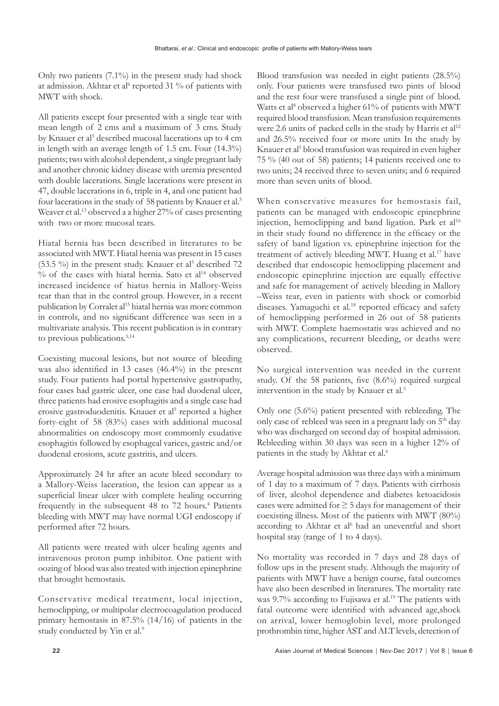Only two patients (7.1%) in the present study had shock at admission. Akhtar et al<sup>6</sup> reported 31 % of patients with MWT with shock.

All patients except four presented with a single tear with mean length of 2 cms and a maximum of 3 cms. Study by Knauer et al<sup>5</sup> described mucosal lacerations up to 4 cm in length with an average length of 1.5 cm. Four (14.3%) patients; two with alcohol dependent, a single pregnant lady and another chronic kidney disease with uremia presented with double lacerations. Single lacerations were present in 47, double lacerations in 6, triple in 4, and one patient had four lacerations in the study of 58 patients by Knauer et al.<sup>5</sup> Weaver et al.<sup>13</sup> observed a a higher 27% of cases presenting with two or more mucosal tears.

Hiatal hernia has been described in literatures to be associated with MWT. Hiatal hernia was present in 15 cases (53.5 %) in the present study. Knauer et al<sup>5</sup> described 72  $%$  of the cases with hiatal hernia. Sato et al<sup>14</sup> observed increased incidence of hiatus hernia in Mallory-Weiss tear than that in the control group. However, in a recent publication by Corralet al<sup>15</sup> hiatal hernia was more common in controls, and no significant difference was seen in a multivariate analysis. This recent publication is in contrary to previous publications.<sup>5,14</sup>

Coexisting mucosal lesions, but not source of bleeding was also identified in 13 cases (46.4%) in the present study. Four patients had portal hypertensive gastropathy, four cases had gastric ulcer, one case had duodenal ulcer, three patients had erosive esophagitis and a single case had erosive gastroduodenitis. Knauer et al<sup>5</sup> reported a higher forty-eight of 58 (83%) cases with additional mucosal abnormalities on endoscopy most commomly exudative esophagitis followed by esophageal varices, gastric and/or duodenal erosions, acute gastritis, and ulcers.

Approximately 24 hr after an acute bleed secondary to a Mallory-Weiss laceration, the lesion can appear as a superficial linear ulcer with complete healing occurring frequently in the subsequent 48 to 72 hours.<sup>4</sup> Patients bleeding with MWT may have normal UGI endoscopy if performed after 72 hours.

All patients were treated with ulcer healing agents and intravenous proton pump inhibitor. One patient with oozing of blood was also treated with injection epinephrine that brought hemostasis.

Conservative medical treatment, local injection, hemoclipping, or multipolar electrocoagulation produced primary hemostasis in 87.5% (14/16) of patients in the study conducted by Yin et al.<sup>9</sup>

Blood transfusion was needed in eight patients (28.5%) only. Four patients were transfused two pints of blood and the rest four were transfused a single pint of blood. Watts et al<sup>8</sup> observed a higher 61% of patients with MWT required blood transfusion. Mean transfusion requirements were 2.6 units of packed cells in the study by Harris et al<sup>12</sup> and 26.5% received four or more units In the study by Knauer et al<sup>5</sup> blood transfusion was required in even higher 75 % (40 out of 58) patients; 14 patients received one to two units; 24 received three to seven units; and 6 required more than seven units of blood.

When conservative measures for hemostasis fail, patients can be managed with endoscopic epinephrine injection, hemoclipping and band ligation. Park et al<sup>16</sup> in their study found no difference in the efficacy or the safety of band ligation vs. epinephrine injection for the treatment of actively bleeding MWT. Huang et al.<sup>17</sup> have described that endoscopic hemoclipping placement and endoscopic epinephrine injection are equally effective and safe for management of actively bleeding in Mallory –Weiss tear, even in patients with shock or comorbid diseases. Yamaguchi et al.<sup>18</sup> reported efficacy and safety of hemoclipping performed in 26 out of 58 patients with MWT. Complete haemostatis was achieved and no any complications, recurrent bleeding, or deaths were observed.

No surgical intervention was needed in the current study. Of the 58 patients, five (8.6%) required surgical intervention in the study by Knauer et al.<sup>5</sup>

Only one (5.6%) patient presented with rebleeding. The only case of rebleed was seen in a pregnant lady on 5<sup>th</sup> day who was discharged on second day of hospital admission. Rebleeding within 30 days was seen in a higher 12% of patients in the study by Akhtar et al.<sup>6</sup>

Average hospital admission was three days with a minimum of 1 day to a maximum of 7 days. Patients with cirrhosis of liver, alcohol dependence and diabetes ketoacidosis cases were admitted for  $\geq 5$  days for management of their coexisting illness. Most of the patients with MWT (80%) according to Akhtar et al<sup>6</sup> had an uneventful and short hospital stay (range of 1 to 4 days).

No mortality was recorded in 7 days and 28 days of follow ups in the present study. Although the majority of patients with MWT have a benign course, fatal outcomes have also been described in literatures. The mortality rate was 9.7% according to Fujisawa et al.<sup>19</sup> The patients with fatal outcome were identified with advanced age, shock on arrival, lower hemoglobin level, more prolonged prothrombin time, higher AST and ALT levels, detection of